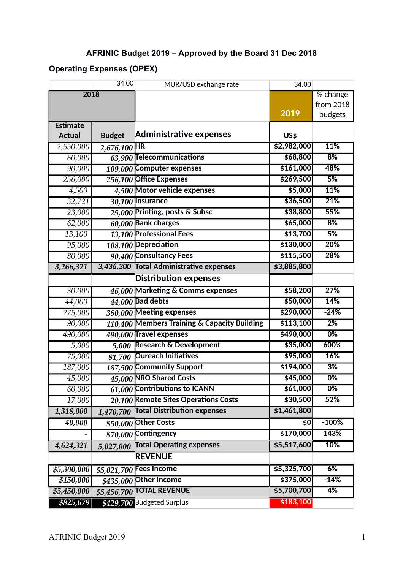## **AFRINIC Budget 2019 – Approved by the Board 31 Dec 2018**

## **Operating Expenses (OPEX)**

|                              | 34.00          | MUR/USD exchange rate                        | 34.00       |                  |
|------------------------------|----------------|----------------------------------------------|-------------|------------------|
| 2018                         |                |                                              |             | % change         |
|                              |                |                                              |             | from 2018        |
|                              |                |                                              | 2019        | budgets          |
| <b>Estimate</b>              |                |                                              |             |                  |
| <b>Actual</b>                | <b>Budget</b>  | <b>Administrative expenses</b>               | <b>US\$</b> |                  |
| 2,550,000                    | $2,676,100$ HR |                                              | \$2,982,000 | 11%              |
| 60,000                       |                | 63,900 Telecommunications                    | \$68,800    | 8%               |
| 90,000                       |                | 109,000 Computer expenses                    | \$161,000   | 48%              |
| 256,000                      |                | 256,100 Office Expenses                      | \$269,500   | 5%               |
| 4,500                        |                | 4,500 Motor vehicle expenses                 | \$5,000     | 11%              |
| 32,721                       |                | 30,100 Insurance                             | \$36,500    | 21%              |
| 23,000                       |                | 25,000 Printing, posts & Subsc               | \$38,800    | 55%              |
| 62,000                       |                | $60,000$ Bank charges                        | \$65,000    | 8%               |
| 13,100                       |                | 13,100 Professional Fees                     | \$13,700    | 5%               |
| 95,000                       |                | 108,100 Depreciation                         | \$130,000   | 20%              |
| 80,000                       |                | 90,400 Consultancy Fees                      | \$115,500   | 28%              |
| 3,266,321                    |                | 3,436,300 Total Administrative expenses      | \$3,885,800 |                  |
| <b>Distribution expenses</b> |                |                                              |             |                  |
| 30,000                       |                | 46,000 Marketing & Comms expenses            | \$58,200    | 27%              |
| 44,000                       |                | $44,000$ Bad debts                           | \$50,000    | 14%              |
| 275,000                      |                | 380,000 Meeting expenses                     | \$290,000   | $-24%$           |
| 90,000                       |                | 110,400 Members Training & Capacity Building | \$113,100   | $\overline{2\%}$ |
| 490,000                      |                | 490,000 Travel expenses                      | \$490,000   | $0\%$            |
| 5,000                        |                | 5,000 Research & Development                 | \$35,000    | 600%             |
| 75,000                       |                | 81,700 Oureach Initiatives                   | \$95,000    | 16%              |
| 187,000                      |                | 187,500 Community Support                    | \$194,000   | 3%               |
| 45,000                       |                | 45,000 NRO Shared Costs                      | \$45,000    | 0%               |
| 60,000                       |                | 61,000 Contributions to ICANN                | \$61,000    | $0\%$            |
| 17,000                       |                | 20,100 Remote Sites Operations Costs         | \$30,500    | 52%              |
| 1,318,000                    | 1,470,700      | <b>Total Distribution expenses</b>           | \$1,461,800 |                  |
| 40,000                       |                | $$50,000$ Other Costs                        | \$0         | $-100%$          |
|                              |                | $$70,000$ Contingency                        | \$170,000   | 143%             |
| 4,624,321                    | 5,027,000      | <b>Total Operating expenses</b>              | \$5,517,600 | 10%              |
| <b>REVENUE</b>               |                |                                              |             |                  |
| \$5,300,000                  |                | \$5,021,700 Fees Income                      | \$5,325,700 | 6%               |
| \$150,000                    |                | $$435,000$ Other Income                      | \$375,000   | $-14%$           |
| \$5,450,000                  |                | \$5,456,700 TOTAL REVENUE                    | \$5,700,700 | 4%               |
| \$825,679                    |                | \$429,700 Budgeted Surplus                   | \$183,100   |                  |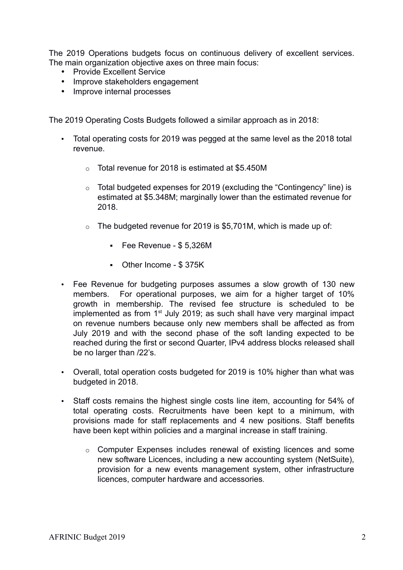The 2019 Operations budgets focus on continuous delivery of excellent services. The main organization objective axes on three main focus:

- Provide Excellent Service
- Improve stakeholders engagement
- Improve internal processes

The 2019 Operating Costs Budgets followed a similar approach as in 2018:

- Total operating costs for 2019 was pegged at the same level as the 2018 total revenue.
	- o Total revenue for 2018 is estimated at \$5.450M
	- o Total budgeted expenses for 2019 (excluding the "Contingency" line) is estimated at \$5.348M; marginally lower than the estimated revenue for 2018.
	- $\circ$  The budgeted revenue for 2019 is \$5.701M, which is made up of:
		- Fee Revenue \$ 5,326M
		- Other Income \$ 375K
- Fee Revenue for budgeting purposes assumes a slow growth of 130 new members. For operational purposes, we aim for a higher target of 10% growth in membership. The revised fee structure is scheduled to be implemented as from  $1<sup>st</sup>$  July 2019; as such shall have very marginal impact on revenue numbers because only new members shall be affected as from July 2019 and with the second phase of the soft landing expected to be reached during the first or second Quarter, IPv4 address blocks released shall be no larger than /22's.
- Overall, total operation costs budgeted for 2019 is 10% higher than what was budgeted in 2018.
- Staff costs remains the highest single costs line item, accounting for 54% of total operating costs. Recruitments have been kept to a minimum, with provisions made for staff replacements and 4 new positions. Staff benefits have been kept within policies and a marginal increase in staff training.
	- o Computer Expenses includes renewal of existing licences and some new software Licences, including a new accounting system (NetSuite), provision for a new events management system, other infrastructure licences, computer hardware and accessories.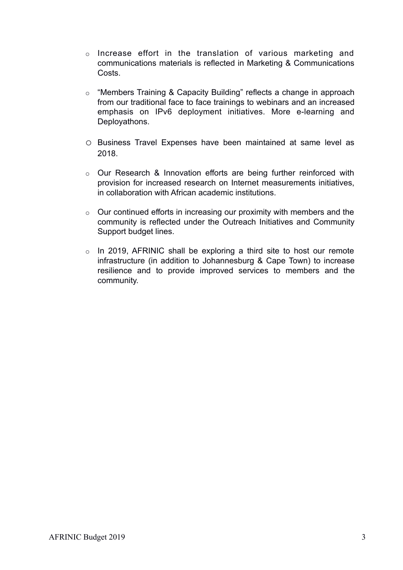- o Increase effort in the translation of various marketing and communications materials is reflected in Marketing & Communications Costs.
- o "Members Training & Capacity Building" reflects a change in approach from our traditional face to face trainings to webinars and an increased emphasis on IPv6 deployment initiatives. More e-learning and Deployathons.
- o Business Travel Expenses have been maintained at same level as 2018.
- o Our Research & Innovation efforts are being further reinforced with provision for increased research on Internet measurements initiatives, in collaboration with African academic institutions.
- $\circ$  Our continued efforts in increasing our proximity with members and the community is reflected under the Outreach Initiatives and Community Support budget lines.
- o In 2019, AFRINIC shall be exploring a third site to host our remote infrastructure (in addition to Johannesburg & Cape Town) to increase resilience and to provide improved services to members and the community.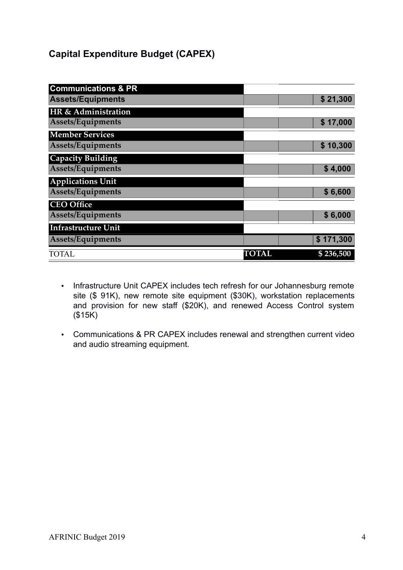## **Capital Expenditure Budget (CAPEX)**

| <b>Communications &amp; PR</b> |              |           |
|--------------------------------|--------------|-----------|
| <b>Assets/Equipments</b>       |              | \$21,300  |
| HR & Administration            |              |           |
| Assets/Equipments              |              | \$17,000  |
| <b>Member Services</b>         |              |           |
| Assets/Equipments              |              | \$10,300  |
| <b>Capacity Building</b>       |              |           |
| Assets/Equipments              |              | \$4,000   |
| <b>Applications Unit</b>       |              |           |
| Assets/Equipments              |              | \$6,600   |
| <b>CEO Office</b>              |              |           |
| Assets/Equipments              |              | \$6,000   |
| <b>Infrastructure Unit</b>     |              |           |
| Assets/Equipments              |              | \$171,300 |
| <b>TOTAL</b>                   | <b>TOTAL</b> | \$236,500 |

- Infrastructure Unit CAPEX includes tech refresh for our Johannesburg remote site (\$ 91K), new remote site equipment (\$30K), workstation replacements and provision for new staff (\$20K), and renewed Access Control system  $($15K)$
- Communications & PR CAPEX includes renewal and strengthen current video and audio streaming equipment.